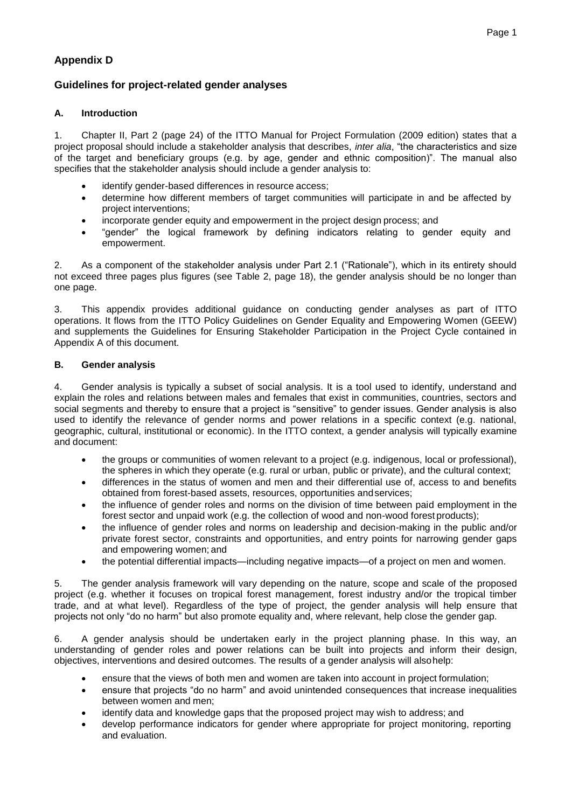# **Appendix D**

# **Guidelines for project-related gender analyses**

## **A. Introduction**

1. Chapter II, Part 2 (page 24) of the ITTO Manual for Project Formulation (2009 edition) states that a project proposal should include a stakeholder analysis that describes, *inter alia*, "the characteristics and size of the target and beneficiary groups (e.g. by age, gender and ethnic composition)". The manual also specifies that the stakeholder analysis should include a gender analysis to:

- identify gender-based differences in resource access;
- determine how different members of target communities will participate in and be affected by project interventions;
- incorporate gender equity and empowerment in the project design process; and
- "gender" the logical framework by defining indicators relating to gender equity and empowerment.

2. As a component of the stakeholder analysis under Part 2.1 ("Rationale"), which in its entirety should not exceed three pages plus figures (see Table 2, page 18), the gender analysis should be no longer than one page.

3. This appendix provides additional guidance on conducting gender analyses as part of ITTO operations. It flows from the ITTO Policy Guidelines on Gender Equality and Empowering Women (GEEW) and supplements the Guidelines for Ensuring Stakeholder Participation in the Project Cycle contained in Appendix A of this document.

### **B. Gender analysis**

4. Gender analysis is typically a subset of social analysis. It is a tool used to identify, understand and explain the roles and relations between males and females that exist in communities, countries, sectors and social segments and thereby to ensure that a project is "sensitive" to gender issues. Gender analysis is also used to identify the relevance of gender norms and power relations in a specific context (e.g. national, geographic, cultural, institutional or economic). In the ITTO context, a gender analysis will typically examine and document:

- the groups or communities of women relevant to a project (e.g. indigenous, local or professional), the spheres in which they operate (e.g. rural or urban, public or private), and the cultural context;
- differences in the status of women and men and their differential use of, access to and benefits obtained from forest-based assets, resources, opportunities andservices;
- the influence of gender roles and norms on the division of time between paid employment in the forest sector and unpaid work (e.g. the collection of wood and non-wood forest products);
- the influence of gender roles and norms on leadership and decision-making in the public and/or private forest sector, constraints and opportunities, and entry points for narrowing gender gaps and empowering women; and
- the potential differential impacts—including negative impacts—of a project on men and women.

5. The gender analysis framework will vary depending on the nature, scope and scale of the proposed project (e.g. whether it focuses on tropical forest management, forest industry and/or the tropical timber trade, and at what level). Regardless of the type of project, the gender analysis will help ensure that projects not only "do no harm" but also promote equality and, where relevant, help close the gender gap.

6. A gender analysis should be undertaken early in the project planning phase. In this way, an understanding of gender roles and power relations can be built into projects and inform their design, objectives, interventions and desired outcomes. The results of a gender analysis will alsohelp:

- ensure that the views of both men and women are taken into account in project formulation;
- ensure that projects "do no harm" and avoid unintended consequences that increase inequalities between women and men;
- identify data and knowledge gaps that the proposed project may wish to address; and
- develop performance indicators for gender where appropriate for project monitoring, reporting and evaluation.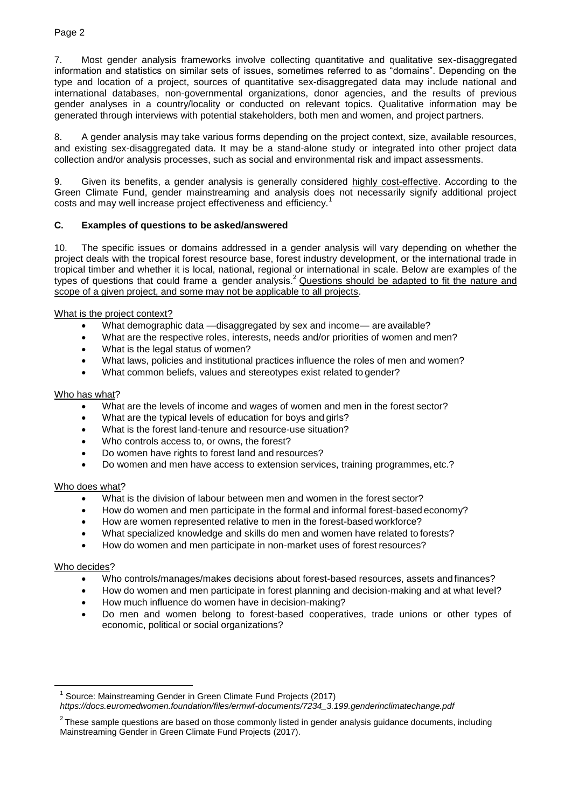#### Page 2

7. Most gender analysis frameworks involve collecting quantitative and qualitative sex-disaggregated information and statistics on similar sets of issues, sometimes referred to as "domains". Depending on the type and location of a project, sources of quantitative sex-disaggregated data may include national and international databases, non-governmental organizations, donor agencies, and the results of previous gender analyses in a country/locality or conducted on relevant topics. Qualitative information may be generated through interviews with potential stakeholders, both men and women, and project partners.

8. A gender analysis may take various forms depending on the project context, size, available resources, and existing sex-disaggregated data. It may be a stand-alone study or integrated into other project data collection and/or analysis processes, such as social and environmental risk and impact assessments.

9. Given its benefits, a gender analysis is generally considered highly cost-effective. According to the Green Climate Fund, gender mainstreaming and analysis does not necessarily signify additional project costs and may well increase project effectiveness and efficiency.<sup>1</sup>

### **C. Examples of questions to be asked/answered**

10. The specific issues or domains addressed in a gender analysis will vary depending on whether the project deals with the tropical forest resource base, forest industry development, or the international trade in tropical timber and whether it is local, national, regional or international in scale. Below are examples of the types of questions that could frame a gender analysis.<sup>2</sup> Questions should be adapted to fit the nature and scope of a given project, and some may not be applicable to all projects.

#### What is the project context?

- What demographic data —disaggregated by sex and income— are available?
- What are the respective roles, interests, needs and/or priorities of women and men?
- What is the legal status of women?
- What laws, policies and institutional practices influence the roles of men and women?
- What common beliefs, values and stereotypes exist related to gender?

#### Who has what?

- What are the levels of income and wages of women and men in the forest sector?
- What are the typical levels of education for boys and girls?
- What is the forest land-tenure and resource-use situation?
- Who controls access to, or owns, the forest?
- Do women have rights to forest land and resources?
- Do women and men have access to extension services, training programmes, etc.?

#### Who does what?

- What is the division of labour between men and women in the forest sector?
- How do women and men participate in the formal and informal forest-based economy?
- How are women represented relative to men in the forest-based workforce?
- What specialized knowledge and skills do men and women have related to forests?
- How do women and men participate in non-market uses of forest resources?

#### Who decides?

<u>.</u>

- Who controls/manages/makes decisions about forest-based resources, assets andfinances?
- How do women and men participate in forest planning and decision-making and at what level?
- How much influence do women have in decision-making?
- Do men and women belong to forest-based cooperatives, trade unions or other types of economic, political or social organizations?

<sup>1</sup> Source: Mainstreaming Gender in Green Climate Fund Projects (2017)

*https://docs.euromedwomen.foundation/files/ermwf-documents/7234\_3.199.genderinclimatechange.pdf*

 $2$ These sample questions are based on those commonly listed in gender analysis guidance documents, including Mainstreaming Gender in Green Climate Fund Projects (2017).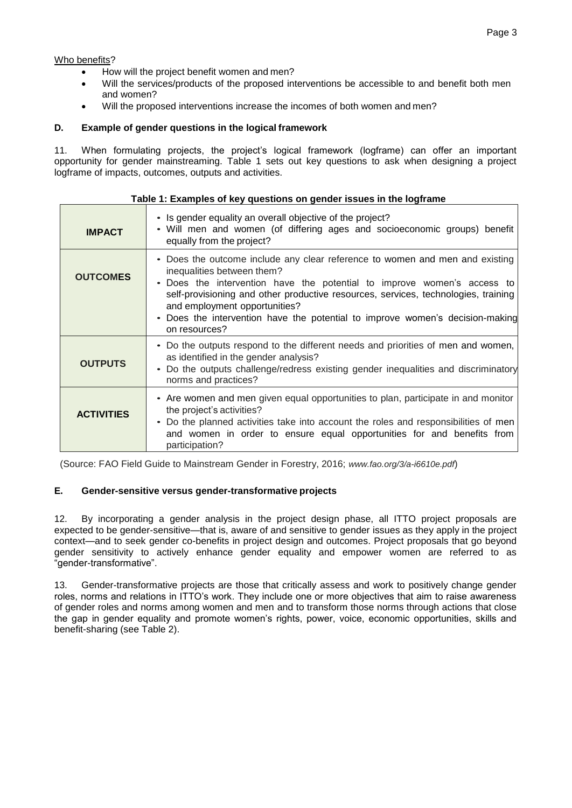Who benefits?

- How will the project benefit women and men?
- Will the services/products of the proposed interventions be accessible to and benefit both men and women?
- Will the proposed interventions increase the incomes of both women and men?

#### **D. Example of gender questions in the logical framework**

11. When formulating projects, the project's logical framework (logframe) can offer an important opportunity for gender mainstreaming. Table 1 sets out key questions to ask when designing a project logframe of impacts, outcomes, outputs and activities.

| Table 1: Examples of key questions on gender issues in the logframe |                                                                                                                                                                                                                                                                                                                                                                                                                |
|---------------------------------------------------------------------|----------------------------------------------------------------------------------------------------------------------------------------------------------------------------------------------------------------------------------------------------------------------------------------------------------------------------------------------------------------------------------------------------------------|
| <b>IMPACT</b>                                                       | • Is gender equality an overall objective of the project?<br>• Will men and women (of differing ages and socioeconomic groups) benefit<br>equally from the project?                                                                                                                                                                                                                                            |
| <b>OUTCOMES</b>                                                     | • Does the outcome include any clear reference to women and men and existing<br>inequalities between them?<br>• Does the intervention have the potential to improve women's access to<br>self-provisioning and other productive resources, services, technologies, training<br>and employment opportunities?<br>• Does the intervention have the potential to improve women's decision-making<br>on resources? |
| <b>OUTPUTS</b>                                                      | • Do the outputs respond to the different needs and priorities of men and women,<br>as identified in the gender analysis?<br>Do the outputs challenge/redress existing gender inequalities and discriminatory<br>norms and practices?                                                                                                                                                                          |
| <b>ACTIVITIES</b>                                                   | • Are women and men given equal opportunities to plan, participate in and monitor<br>the project's activities?<br>• Do the planned activities take into account the roles and responsibilities of men<br>and women in order to ensure equal opportunities for and benefits from<br>participation?                                                                                                              |

(Source: FAO Field Guide to Mainstream Gender in Forestry, 2016; *www.fao.org/3/a-i6610e.pdf*)

#### **E. Gender-sensitive versus gender-transformative projects**

12. By incorporating a gender analysis in the project design phase, all ITTO project proposals are expected to be gender-sensitive—that is, aware of and sensitive to gender issues as they apply in the project context—and to seek gender co-benefits in project design and outcomes. Project proposals that go beyond gender sensitivity to actively enhance gender equality and empower women are referred to as "gender-transformative".

13. Gender-transformative projects are those that critically assess and work to positively change gender roles, norms and relations in ITTO's work. They include one or more objectives that aim to raise awareness of gender roles and norms among women and men and to transform those norms through actions that close the gap in gender equality and promote women's rights, power, voice, economic opportunities, skills and benefit-sharing (see Table 2).